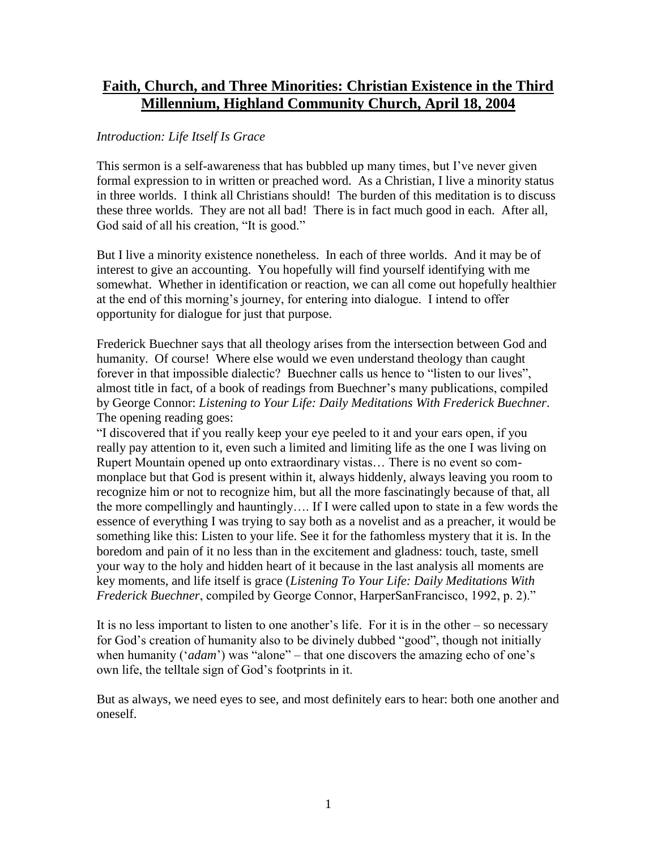# **Faith, Church, and Three Minorities: Christian Existence in the Third Millennium, Highland Community Church, April 18, 2004**

# *Introduction: Life Itself Is Grace*

This sermon is a self-awareness that has bubbled up many times, but I've never given formal expression to in written or preached word. As a Christian, I live a minority status in three worlds. I think all Christians should! The burden of this meditation is to discuss these three worlds. They are not all bad! There is in fact much good in each. After all, God said of all his creation, "It is good."

But I live a minority existence nonetheless. In each of three worlds. And it may be of interest to give an accounting. You hopefully will find yourself identifying with me somewhat. Whether in identification or reaction, we can all come out hopefully healthier at the end of this morning's journey, for entering into dialogue. I intend to offer opportunity for dialogue for just that purpose.

Frederick Buechner says that all theology arises from the intersection between God and humanity. Of course! Where else would we even understand theology than caught forever in that impossible dialectic? Buechner calls us hence to "listen to our lives", almost title in fact, of a book of readings from Buechner's many publications, compiled by George Connor: *Listening to Your Life: Daily Meditations With Frederick Buechner*. The opening reading goes:

"I discovered that if you really keep your eye peeled to it and your ears open, if you really pay attention to it, even such a limited and limiting life as the one I was living on Rupert Mountain opened up onto extraordinary vistas… There is no event so commonplace but that God is present within it, always hiddenly, always leaving you room to recognize him or not to recognize him, but all the more fascinatingly because of that, all the more compellingly and hauntingly…. If I were called upon to state in a few words the essence of everything I was trying to say both as a novelist and as a preacher, it would be something like this: Listen to your life. See it for the fathomless mystery that it is. In the boredom and pain of it no less than in the excitement and gladness: touch, taste, smell your way to the holy and hidden heart of it because in the last analysis all moments are key moments, and life itself is grace (*Listening To Your Life: Daily Meditations With Frederick Buechner*, compiled by George Connor, HarperSanFrancisco, 1992, p. 2)."

It is no less important to listen to one another's life. For it is in the other – so necessary for God's creation of humanity also to be divinely dubbed "good", though not initially when humanity ('*adam*') was "alone" – that one discovers the amazing echo of one's own life, the telltale sign of God's footprints in it.

But as always, we need eyes to see, and most definitely ears to hear: both one another and oneself.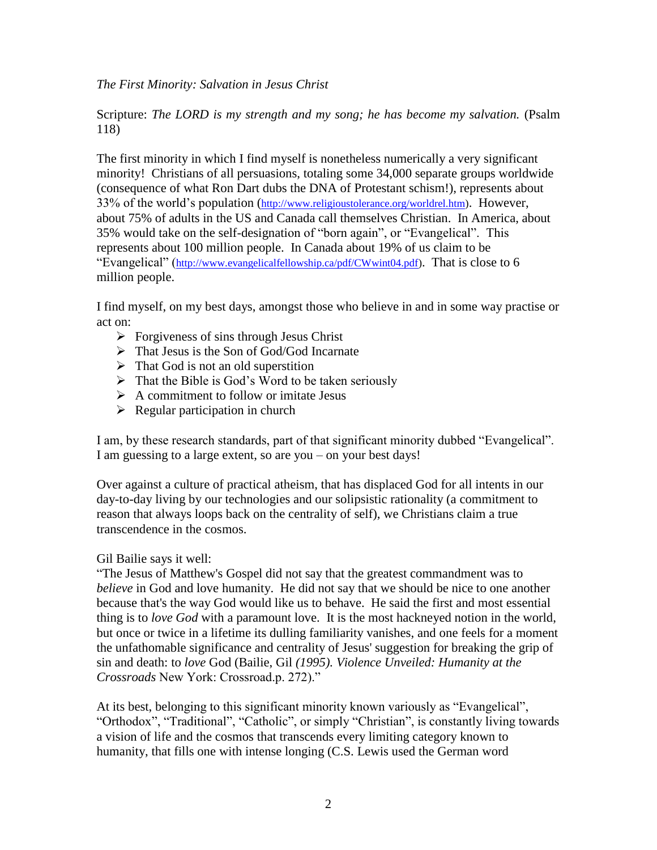*The First Minority: Salvation in Jesus Christ*

Scripture: *The LORD is my strength and my song; he has become my salvation.* (Psalm 118)

The first minority in which I find myself is nonetheless numerically a very significant minority! Christians of all persuasions, totaling some 34,000 separate groups worldwide (consequence of what Ron Dart dubs the DNA of Protestant schism!), represents about 33% of the world's population ([http://www.religioustolerance.org/worldrel.htm\)](http://www.religioustolerance.org/worldrel.htm). However, about 75% of adults in the US and Canada call themselves Christian. In America, about 35% would take on the self-designation of "born again", or "Evangelical". This represents about 100 million people. In Canada about 19% of us claim to be "Evangelical" ([http://www.evangelicalfellowship.ca/pdf/CWwint04.pdf\)](http://www.evangelicalfellowship.ca/pdf/CWwint04.pdf). That is close to 6 million people.

I find myself, on my best days, amongst those who believe in and in some way practise or act on:

- $\triangleright$  Forgiveness of sins through Jesus Christ
- > That Jesus is the Son of God/God Incarnate
- $\triangleright$  That God is not an old superstition
- $\triangleright$  That the Bible is God's Word to be taken seriously
- $\triangleright$  A commitment to follow or imitate Jesus
- $\triangleright$  Regular participation in church

I am, by these research standards, part of that significant minority dubbed "Evangelical". I am guessing to a large extent, so are you – on your best days!

Over against a culture of practical atheism, that has displaced God for all intents in our day-to-day living by our technologies and our solipsistic rationality (a commitment to reason that always loops back on the centrality of self), we Christians claim a true transcendence in the cosmos.

### Gil Bailie says it well:

"The Jesus of Matthew's Gospel did not say that the greatest commandment was to *believe* in God and love humanity. He did not say that we should be nice to one another because that's the way God would like us to behave. He said the first and most essential thing is to *love God* with a paramount love. It is the most hackneyed notion in the world, but once or twice in a lifetime its dulling familiarity vanishes, and one feels for a moment the unfathomable significance and centrality of Jesus' suggestion for breaking the grip of sin and death: to *love* God (Bailie, Gil *(1995). Violence Unveiled: Humanity at the Crossroads* New York: Crossroad.p. 272)."

At its best, belonging to this significant minority known variously as "Evangelical", "Orthodox", "Traditional", "Catholic", or simply "Christian", is constantly living towards a vision of life and the cosmos that transcends every limiting category known to humanity, that fills one with intense longing (C.S. Lewis used the German word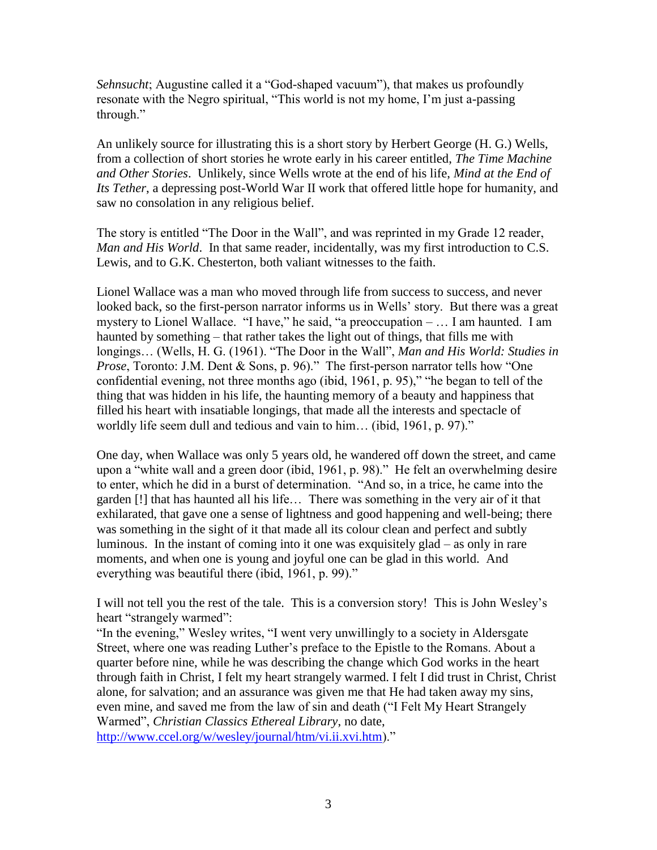*Sehnsucht*; Augustine called it a "God-shaped vacuum"), that makes us profoundly resonate with the Negro spiritual, "This world is not my home, I'm just a-passing through."

An unlikely source for illustrating this is a short story by Herbert George (H. G.) Wells, from a collection of short stories he wrote early in his career entitled, *The Time Machine and Other Stories*. Unlikely, since Wells wrote at the end of his life, *Mind at the End of Its Tether*, a depressing post-World War II work that offered little hope for humanity, and saw no consolation in any religious belief.

The story is entitled "The Door in the Wall", and was reprinted in my Grade 12 reader, *Man and His World*. In that same reader, incidentally, was my first introduction to C.S. Lewis, and to G.K. Chesterton, both valiant witnesses to the faith.

Lionel Wallace was a man who moved through life from success to success, and never looked back, so the first-person narrator informs us in Wells' story. But there was a great mystery to Lionel Wallace. "I have," he said, "a preoccupation – … I am haunted. I am haunted by something – that rather takes the light out of things, that fills me with longings… (Wells, H. G. (1961). "The Door in the Wall", *Man and His World: Studies in Prose*, Toronto: J.M. Dent & Sons, p. 96)." The first-person narrator tells how "One confidential evening, not three months ago (ibid, 1961, p. 95)," "he began to tell of the thing that was hidden in his life, the haunting memory of a beauty and happiness that filled his heart with insatiable longings, that made all the interests and spectacle of worldly life seem dull and tedious and vain to him... (ibid, 1961, p. 97)."

One day, when Wallace was only 5 years old, he wandered off down the street, and came upon a "white wall and a green door (ibid, 1961, p. 98)." He felt an overwhelming desire to enter, which he did in a burst of determination. "And so, in a trice, he came into the garden [!] that has haunted all his life… There was something in the very air of it that exhilarated, that gave one a sense of lightness and good happening and well-being; there was something in the sight of it that made all its colour clean and perfect and subtly luminous. In the instant of coming into it one was exquisitely glad – as only in rare moments, and when one is young and joyful one can be glad in this world. And everything was beautiful there (ibid, 1961, p. 99)."

I will not tell you the rest of the tale. This is a conversion story! This is John Wesley's heart "strangely warmed":

"In the evening," Wesley writes, "I went very unwillingly to a society in Aldersgate Street, where one was reading Luther's preface to the Epistle to the Romans. About a quarter before nine, while he was describing the change which God works in the heart through faith in Christ, I felt my heart strangely warmed. I felt I did trust in Christ, Christ alone, for salvation; and an assurance was given me that He had taken away my sins, even mine, and saved me from the law of sin and death ("I Felt My Heart Strangely Warmed", *Christian Classics Ethereal Library*, no date, [http://www.ccel.org/w/wesley/journal/htm/vi.ii.xvi.htm\)](http://www.ccel.org/w/wesley/journal/htm/vi.ii.xvi.htm)."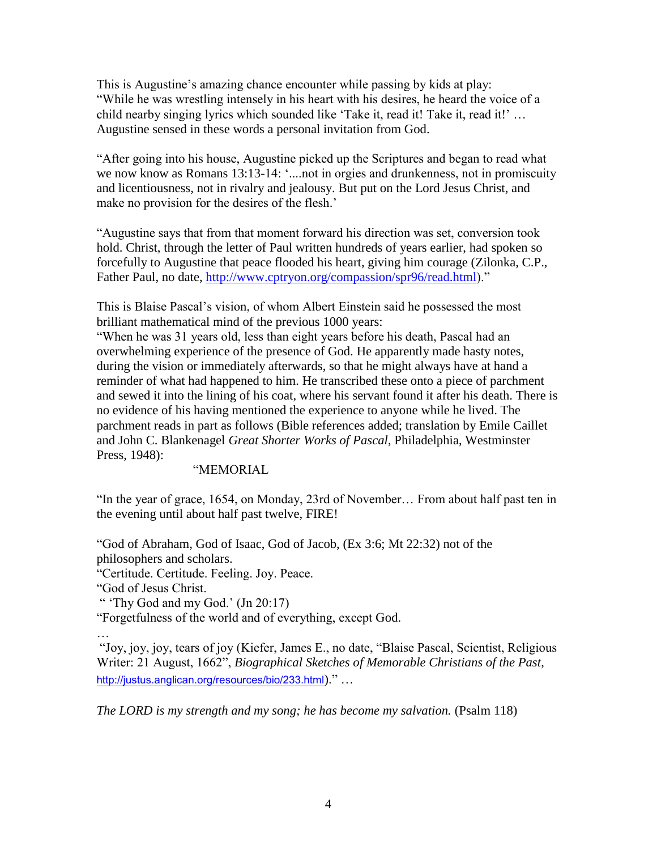This is Augustine's amazing chance encounter while passing by kids at play: "While he was wrestling intensely in his heart with his desires, he heard the voice of a child nearby singing lyrics which sounded like 'Take it, read it! Take it, read it!' … Augustine sensed in these words a personal invitation from God.

"After going into his house, Augustine picked up the Scriptures and began to read what we now know as Romans 13:13-14: '.... not in orgies and drunkenness, not in promiscuity and licentiousness, not in rivalry and jealousy. But put on the Lord Jesus Christ, and make no provision for the desires of the flesh.'

"Augustine says that from that moment forward his direction was set, conversion took hold. Christ, through the letter of Paul written hundreds of years earlier, had spoken so forcefully to Augustine that peace flooded his heart, giving him courage (Zilonka, C.P., Father Paul, no date, [http://www.cptryon.org/compassion/spr96/read.html\)](http://www.cptryon.org/compassion/spr96/read.html)."

This is Blaise Pascal's vision, of whom Albert Einstein said he possessed the most brilliant mathematical mind of the previous 1000 years:

"When he was 31 years old, less than eight years before his death, Pascal had an overwhelming experience of the presence of God. He apparently made hasty notes, during the vision or immediately afterwards, so that he might always have at hand a reminder of what had happened to him. He transcribed these onto a piece of parchment and sewed it into the lining of his coat, where his servant found it after his death. There is no evidence of his having mentioned the experience to anyone while he lived. The parchment reads in part as follows (Bible references added; translation by Emile Caillet and John C. Blankenagel *Great Shorter Works of Pascal*, Philadelphia, Westminster Press, 1948):

"MEMORIAL

"In the year of grace, 1654, on Monday, 23rd of November… From about half past ten in the evening until about half past twelve, FIRE!

"God of Abraham, God of Isaac, God of Jacob, (Ex 3:6; Mt 22:32) not of the philosophers and scholars.

"Certitude. Certitude. Feeling. Joy. Peace.

"God of Jesus Christ.

…

" 'Thy God and my God.'  $(In 20:17)$ 

"Forgetfulness of the world and of everything, except God.

"Joy, joy, joy, tears of joy (Kiefer, James E., no date, "Blaise Pascal, Scientist, Religious Writer: 21 August, 1662", *Biographical Sketches of Memorable Christians of the Past*, <http://justus.anglican.org/resources/bio/233.html>)." …

*The LORD is my strength and my song; he has become my salvation.* (Psalm 118)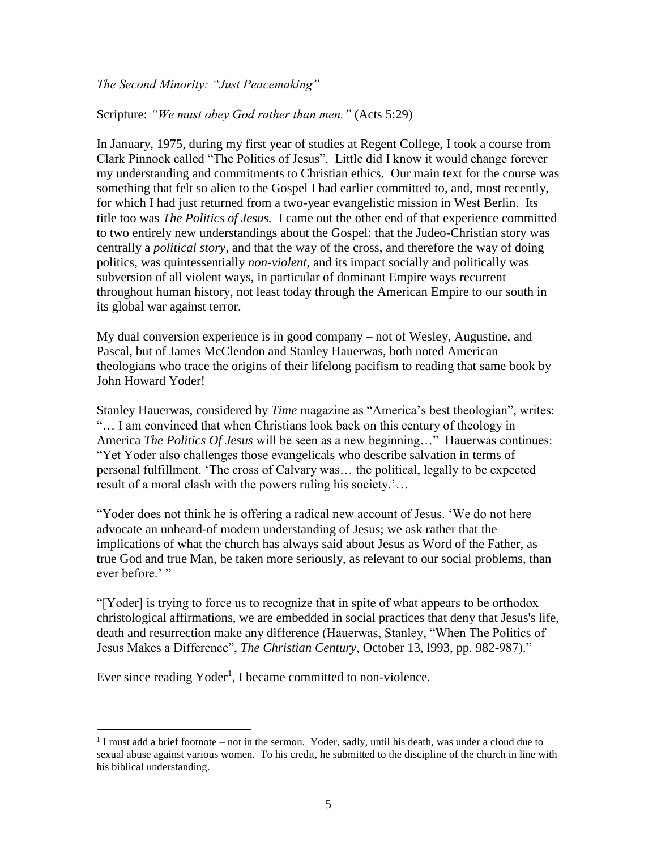*The Second Minority: "Just Peacemaking"*

Scripture: *"We must obey God rather than men."* (Acts 5:29)

In January, 1975, during my first year of studies at Regent College, I took a course from Clark Pinnock called "The Politics of Jesus". Little did I know it would change forever my understanding and commitments to Christian ethics. Our main text for the course was something that felt so alien to the Gospel I had earlier committed to, and, most recently, for which I had just returned from a two-year evangelistic mission in West Berlin. Its title too was *The Politics of Jesus.* I came out the other end of that experience committed to two entirely new understandings about the Gospel: that the Judeo-Christian story was centrally a *political story*, and that the way of the cross, and therefore the way of doing politics, was quintessentially *non-violent*, and its impact socially and politically was subversion of all violent ways, in particular of dominant Empire ways recurrent throughout human history, not least today through the American Empire to our south in its global war against terror.

My dual conversion experience is in good company – not of Wesley, Augustine, and Pascal, but of James McClendon and Stanley Hauerwas, both noted American theologians who trace the origins of their lifelong pacifism to reading that same book by John Howard Yoder!

Stanley Hauerwas, considered by *Time* magazine as "America's best theologian", writes: "… I am convinced that when Christians look back on this century of theology in America *The Politics Of Jesus* will be seen as a new beginning…" Hauerwas continues: "Yet Yoder also challenges those evangelicals who describe salvation in terms of personal fulfillment. 'The cross of Calvary was… the political, legally to be expected result of a moral clash with the powers ruling his society.'…

"Yoder does not think he is offering a radical new account of Jesus. 'We do not here advocate an unheard-of modern understanding of Jesus; we ask rather that the implications of what the church has always said about Jesus as Word of the Father, as true God and true Man, be taken more seriously, as relevant to our social problems, than ever before.'"

"[Yoder] is trying to force us to recognize that in spite of what appears to be orthodox christological affirmations, we are embedded in social practices that deny that Jesus's life, death and resurrection make any difference (Hauerwas, Stanley, "When The Politics of Jesus Makes a Difference", *The Christian Century*, October 13, l993, pp. 982-987)."

Ever since reading Yoder<sup>1</sup>, I became committed to non-violence.

 $\overline{a}$ 

 $<sup>1</sup>$  I must add a brief footnote – not in the sermon. Yoder, sadly, until his death, was under a cloud due to</sup> sexual abuse against various women. To his credit, he submitted to the discipline of the church in line with his biblical understanding.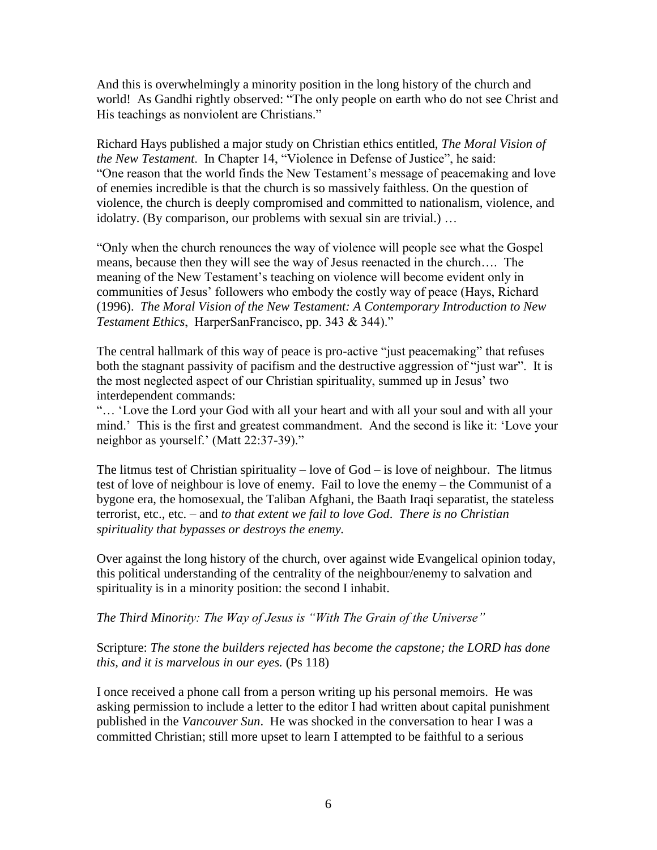And this is overwhelmingly a minority position in the long history of the church and world! As Gandhi rightly observed: "The only people on earth who do not see Christ and His teachings as nonviolent are Christians."

Richard Hays published a major study on Christian ethics entitled, *The Moral Vision of the New Testament*. In Chapter 14, "Violence in Defense of Justice", he said: "One reason that the world finds the New Testament's message of peacemaking and love of enemies incredible is that the church is so massively faithless. On the question of violence, the church is deeply compromised and committed to nationalism, violence, and idolatry. (By comparison, our problems with sexual sin are trivial.) …

"Only when the church renounces the way of violence will people see what the Gospel means, because then they will see the way of Jesus reenacted in the church…. The meaning of the New Testament's teaching on violence will become evident only in communities of Jesus' followers who embody the costly way of peace (Hays, Richard (1996). *The Moral Vision of the New Testament: A Contemporary Introduction to New Testament Ethics*, HarperSanFrancisco, pp. 343 & 344)."

The central hallmark of this way of peace is pro-active "just peacemaking" that refuses both the stagnant passivity of pacifism and the destructive aggression of "just war". It is the most neglected aspect of our Christian spirituality, summed up in Jesus' two interdependent commands:

"… 'Love the Lord your God with all your heart and with all your soul and with all your mind.' This is the first and greatest commandment. And the second is like it: 'Love your neighbor as yourself.' (Matt 22:37-39)."

The litmus test of Christian spirituality – love of God – is love of neighbour. The litmus test of love of neighbour is love of enemy. Fail to love the enemy – the Communist of a bygone era, the homosexual, the Taliban Afghani, the Baath Iraqi separatist, the stateless terrorist, etc., etc. – and *to that extent we fail to love God*. *There is no Christian spirituality that bypasses or destroys the enemy.* 

Over against the long history of the church, over against wide Evangelical opinion today, this political understanding of the centrality of the neighbour/enemy to salvation and spirituality is in a minority position: the second I inhabit.

*The Third Minority: The Way of Jesus is "With The Grain of the Universe"*

Scripture: *The stone the builders rejected has become the capstone; the LORD has done this, and it is marvelous in our eyes.* (Ps 118)

I once received a phone call from a person writing up his personal memoirs. He was asking permission to include a letter to the editor I had written about capital punishment published in the *Vancouver Sun*. He was shocked in the conversation to hear I was a committed Christian; still more upset to learn I attempted to be faithful to a serious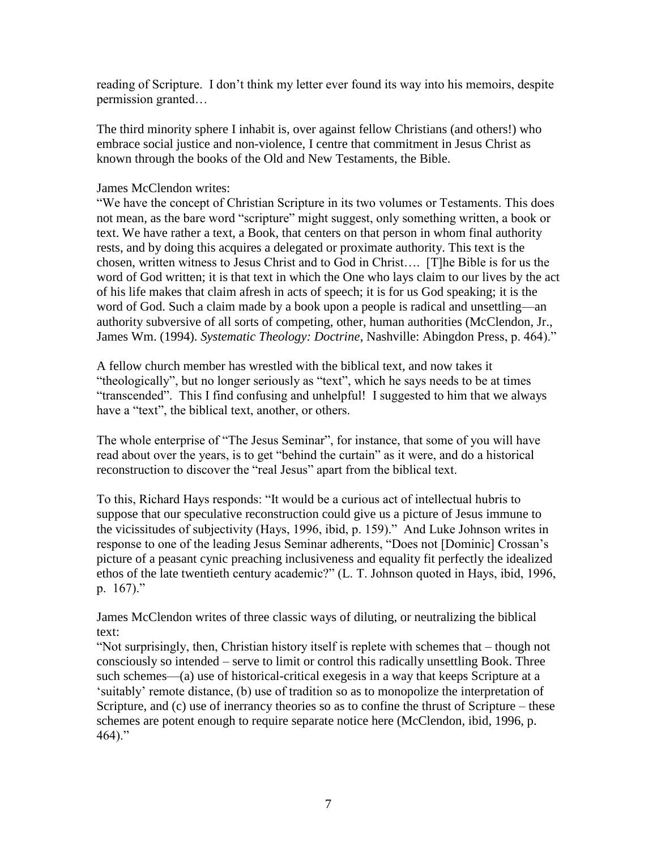reading of Scripture. I don't think my letter ever found its way into his memoirs, despite permission granted…

The third minority sphere I inhabit is, over against fellow Christians (and others!) who embrace social justice and non-violence, I centre that commitment in Jesus Christ as known through the books of the Old and New Testaments, the Bible.

#### James McClendon writes:

"We have the concept of Christian Scripture in its two volumes or Testaments. This does not mean, as the bare word "scripture" might suggest, only something written, a book or text. We have rather a text, a Book, that centers on that person in whom final authority rests, and by doing this acquires a delegated or proximate authority. This text is the chosen, written witness to Jesus Christ and to God in Christ…. [T]he Bible is for us the word of God written; it is that text in which the One who lays claim to our lives by the act of his life makes that claim afresh in acts of speech; it is for us God speaking; it is the word of God. Such a claim made by a book upon a people is radical and unsettling—an authority subversive of all sorts of competing, other, human authorities (McClendon, Jr., James Wm. (1994). *Systematic Theology: Doctrine*, Nashville: Abingdon Press, p. 464)."

A fellow church member has wrestled with the biblical text, and now takes it "theologically", but no longer seriously as "text", which he says needs to be at times "transcended". This I find confusing and unhelpful! I suggested to him that we always have a "text", the biblical text, another, or others.

The whole enterprise of "The Jesus Seminar", for instance, that some of you will have read about over the years, is to get "behind the curtain" as it were, and do a historical reconstruction to discover the "real Jesus" apart from the biblical text.

To this, Richard Hays responds: "It would be a curious act of intellectual hubris to suppose that our speculative reconstruction could give us a picture of Jesus immune to the vicissitudes of subjectivity (Hays, 1996, ibid, p. 159)." And Luke Johnson writes in response to one of the leading Jesus Seminar adherents, "Does not [Dominic] Crossan's picture of a peasant cynic preaching inclusiveness and equality fit perfectly the idealized ethos of the late twentieth century academic?" (L. T. Johnson quoted in Hays, ibid, 1996, p. 167)."

James McClendon writes of three classic ways of diluting, or neutralizing the biblical text:

"Not surprisingly, then, Christian history itself is replete with schemes that – though not consciously so intended – serve to limit or control this radically unsettling Book. Three such schemes—(a) use of historical-critical exegesis in a way that keeps Scripture at a 'suitably' remote distance, (b) use of tradition so as to monopolize the interpretation of Scripture, and (c) use of inerrancy theories so as to confine the thrust of Scripture – these schemes are potent enough to require separate notice here (McClendon, ibid, 1996, p. 464)."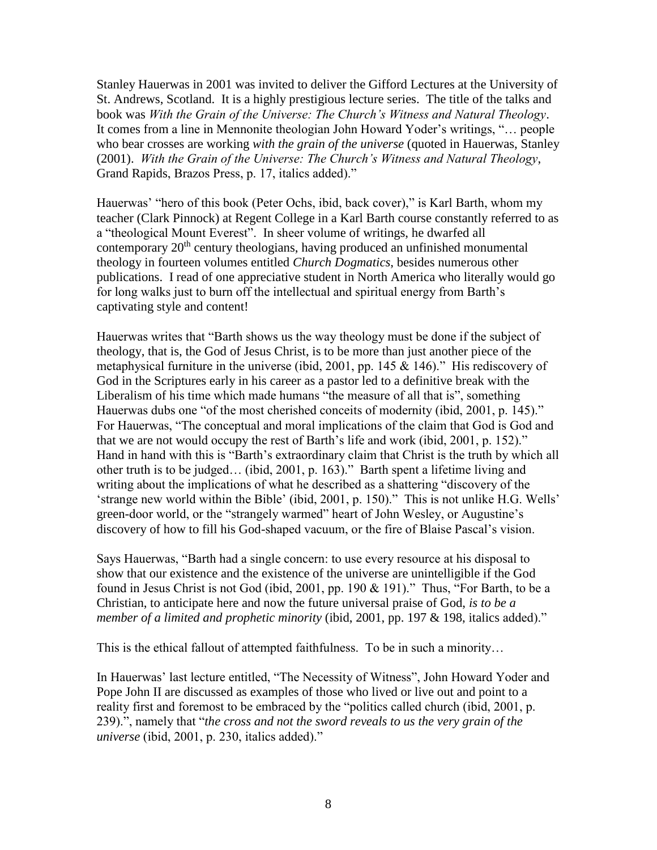Stanley Hauerwas in 2001 was invited to deliver the Gifford Lectures at the University of St. Andrews, Scotland. It is a highly prestigious lecture series. The title of the talks and book was *With the Grain of the Universe: The Church's Witness and Natural Theology*. It comes from a line in Mennonite theologian John Howard Yoder's writings, "… people who bear crosses are working *with the grain of the universe* (quoted in Hauerwas, Stanley (2001). *With the Grain of the Universe: The Church's Witness and Natural Theology*, Grand Rapids, Brazos Press, p. 17, italics added)."

Hauerwas' "hero of this book (Peter Ochs, ibid, back cover)," is Karl Barth, whom my teacher (Clark Pinnock) at Regent College in a Karl Barth course constantly referred to as a "theological Mount Everest". In sheer volume of writings, he dwarfed all contemporary  $20<sup>th</sup>$  century theologians, having produced an unfinished monumental theology in fourteen volumes entitled *Church Dogmatics*, besides numerous other publications. I read of one appreciative student in North America who literally would go for long walks just to burn off the intellectual and spiritual energy from Barth's captivating style and content!

Hauerwas writes that "Barth shows us the way theology must be done if the subject of theology, that is, the God of Jesus Christ, is to be more than just another piece of the metaphysical furniture in the universe (ibid, 2001, pp. 145 & 146)." His rediscovery of God in the Scriptures early in his career as a pastor led to a definitive break with the Liberalism of his time which made humans "the measure of all that is", something Hauerwas dubs one "of the most cherished conceits of modernity (ibid, 2001, p. 145)." For Hauerwas, "The conceptual and moral implications of the claim that God is God and that we are not would occupy the rest of Barth's life and work (ibid, 2001, p. 152)." Hand in hand with this is "Barth's extraordinary claim that Christ is the truth by which all other truth is to be judged… (ibid, 2001, p. 163)." Barth spent a lifetime living and writing about the implications of what he described as a shattering "discovery of the 'strange new world within the Bible' (ibid, 2001, p. 150)." This is not unlike H.G. Wells' green-door world, or the "strangely warmed" heart of John Wesley, or Augustine's discovery of how to fill his God-shaped vacuum, or the fire of Blaise Pascal's vision.

Says Hauerwas, "Barth had a single concern: to use every resource at his disposal to show that our existence and the existence of the universe are unintelligible if the God found in Jesus Christ is not God (ibid, 2001, pp. 190 & 191)." Thus, "For Barth, to be a Christian, to anticipate here and now the future universal praise of God, *is to be a member of a limited and prophetic minority* (ibid, 2001, pp. 197 & 198, italics added)."

This is the ethical fallout of attempted faithfulness. To be in such a minority…

In Hauerwas' last lecture entitled, "The Necessity of Witness", John Howard Yoder and Pope John II are discussed as examples of those who lived or live out and point to a reality first and foremost to be embraced by the "politics called church (ibid, 2001, p. 239).", namely that "*the cross and not the sword reveals to us the very grain of the universe* (ibid, 2001, p. 230, italics added)."